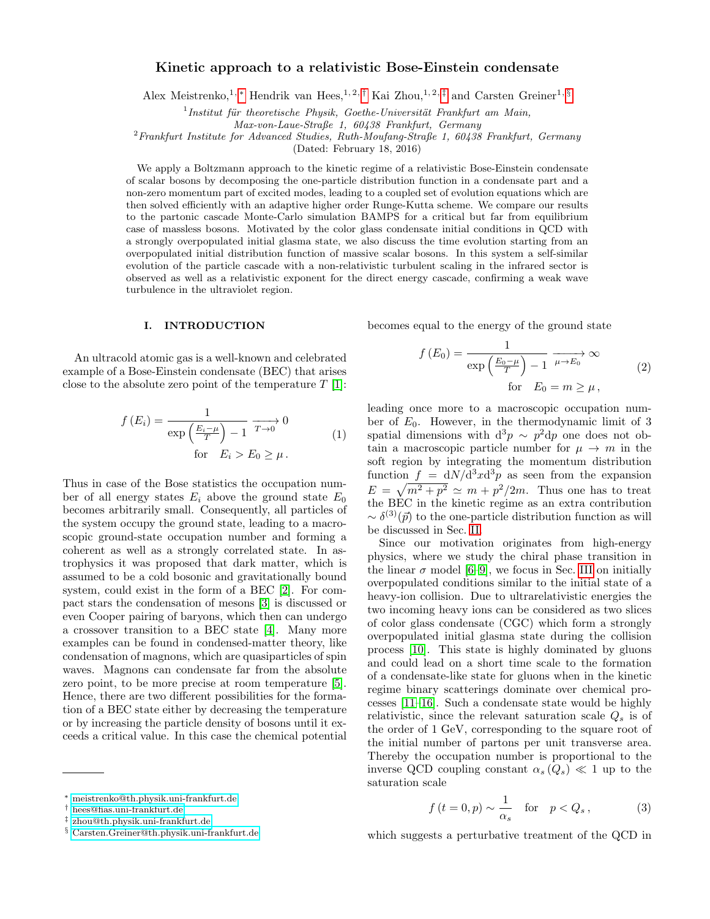# Kinetic approach to a relativistic Bose-Einstein condensate

Alex Meistrenko,<sup>1, [∗](#page-0-0)</sup> Hendrik van Hees,<sup>1, 2,[†](#page-0-1)</sup> Kai Zhou,<sup>1, 2,[‡](#page-0-2)</sup> and Carsten Greiner<sup>1, [§](#page-0-3)</sup>

 $<sup>1</sup>$ Institut für theoretische Physik, Goethe-Universität Frankfurt am Main,</sup>

Max-von-Laue-Straße 1, 60438 Frankfurt, Germany

 $^{2}$ Frankfurt Institute for Advanced Studies, Ruth-Moufang-Straße 1, 60438 Frankfurt, Germany

(Dated: February 18, 2016)

We apply a Boltzmann approach to the kinetic regime of a relativistic Bose-Einstein condensate of scalar bosons by decomposing the one-particle distribution function in a condensate part and a non-zero momentum part of excited modes, leading to a coupled set of evolution equations which are then solved efficiently with an adaptive higher order Runge-Kutta scheme. We compare our results to the partonic cascade Monte-Carlo simulation BAMPS for a critical but far from equilibrium case of massless bosons. Motivated by the color glass condensate initial conditions in QCD with a strongly overpopulated initial glasma state, we also discuss the time evolution starting from an overpopulated initial distribution function of massive scalar bosons. In this system a self-similar evolution of the particle cascade with a non-relativistic turbulent scaling in the infrared sector is observed as well as a relativistic exponent for the direct energy cascade, confirming a weak wave turbulence in the ultraviolet region.

#### <span id="page-0-4"></span>I. INTRODUCTION

An ultracold atomic gas is a well-known and celebrated example of a Bose-Einstein condensate (BEC) that arises close to the absolute zero point of the temperature  $T_1$ [\[1\]](#page-10-0):

$$
f(E_i) = \frac{1}{\exp\left(\frac{E_i - \mu}{T}\right) - 1} \xrightarrow{T \to 0} 0
$$
  
for  $E_i > E_0 \ge \mu$ . (1)

Thus in case of the Bose statistics the occupation number of all energy states  $E_i$  above the ground state  $E_0$ becomes arbitrarily small. Consequently, all particles of the system occupy the ground state, leading to a macroscopic ground-state occupation number and forming a coherent as well as a strongly correlated state. In astrophysics it was proposed that dark matter, which is assumed to be a cold bosonic and gravitationally bound system, could exist in the form of a BEC [\[2\]](#page-10-1). For compact stars the condensation of mesons [\[3\]](#page-10-2) is discussed or even Cooper pairing of baryons, which then can undergo a crossover transition to a BEC state [\[4\]](#page-10-3). Many more examples can be found in condensed-matter theory, like condensation of magnons, which are quasiparticles of spin waves. Magnons can condensate far from the absolute zero point, to be more precise at room temperature [\[5\]](#page-10-4). Hence, there are two different possibilities for the formation of a BEC state either by decreasing the temperature or by increasing the particle density of bosons until it exceeds a critical value. In this case the chemical potential

becomes equal to the energy of the ground state

$$
f(E_0) = \frac{1}{\exp\left(\frac{E_0 - \mu}{T}\right) - 1} \xrightarrow{\mu \to E_0} \infty
$$
\n
$$
\text{for} \quad E_0 = m \ge \mu \,, \tag{2}
$$

leading once more to a macroscopic occupation number of  $E_0$ . However, in the thermodynamic limit of 3 spatial dimensions with  $d^3p \sim p^2dp$  one does not obtain a macroscopic particle number for  $\mu \to m$  in the soft region by integrating the momentum distribution function  $f = dN/d^3x d^3p$  as seen from the expansion  $E = \sqrt{m^2 + p^2} \simeq m + p^2/2m$ . Thus one has to treat the BEC in the kinetic regime as an extra contribution  $\sim \delta^{(3)}(\vec{p})$  to the one-particle distribution function as will be discussed in Sec. [II.](#page-1-0)

Since our motivation originates from high-energy physics, where we study the chiral phase transition in the linear  $\sigma$  model [\[6–](#page-10-5)[9\]](#page-10-6), we focus in Sec. [III](#page-2-0) on initially overpopulated conditions similar to the initial state of a heavy-ion collision. Due to ultrarelativistic energies the two incoming heavy ions can be considered as two slices of color glass condensate (CGC) which form a strongly overpopulated initial glasma state during the collision process [\[10\]](#page-10-7). This state is highly dominated by gluons and could lead on a short time scale to the formation of a condensate-like state for gluons when in the kinetic regime binary scatterings dominate over chemical processes [\[11](#page-10-8)[–16\]](#page-10-9). Such a condensate state would be highly relativistic, since the relevant saturation scale  $Q_s$  is of the order of 1 GeV, corresponding to the square root of the initial number of partons per unit transverse area. Thereby the occupation number is proportional to the inverse QCD coupling constant  $\alpha_s(Q_s) \ll 1$  up to the saturation scale

$$
f(t = 0, p) \sim \frac{1}{\alpha_s} \quad \text{for} \quad p < Q_s \,, \tag{3}
$$

which suggests a perturbative treatment of the QCD in

<span id="page-0-0"></span><sup>∗</sup> [meistrenko@th.physik.uni-frankfurt.de](mailto:meistrenko@th.physik.uni-frankfurt.de)

<span id="page-0-1"></span><sup>†</sup> [hees@fias.uni-frankfurt.de](mailto:hees@fias.uni-frankfurt.de)

<span id="page-0-2"></span><sup>‡</sup> [zhou@th.physik.uni-frankfurt.de](mailto:zhou@th.physik.uni-frankfurt.de)

<span id="page-0-3"></span><sup>§</sup> [Carsten.Greiner@th.physik.uni-frankfurt.de](mailto:Carsten.Greiner@th.physik.uni-frankfurt.de)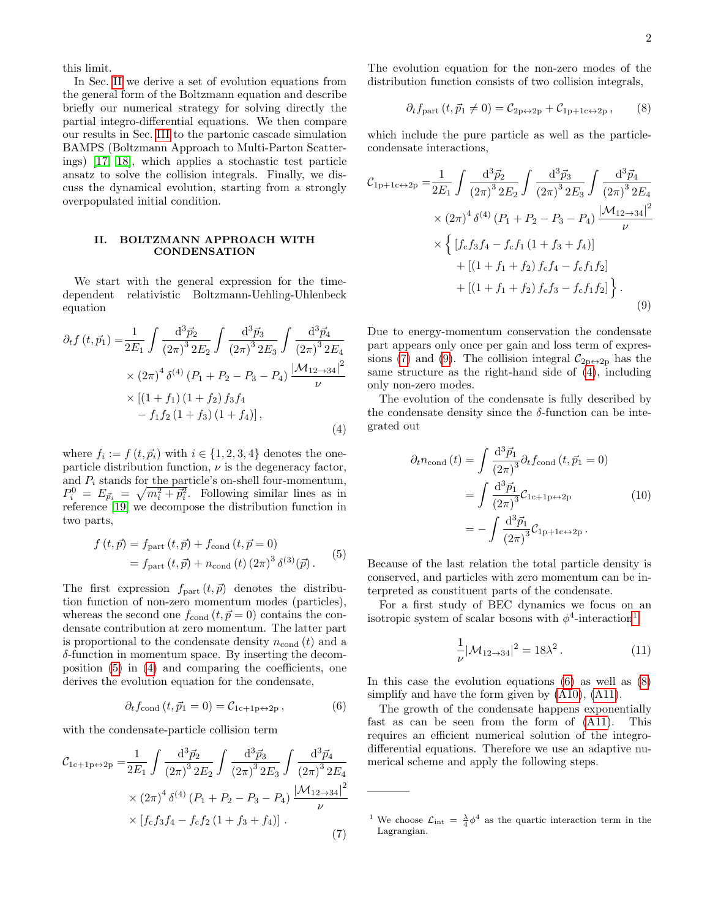this limit.

In Sec. [II](#page-1-0) we derive a set of evolution equations from the general form of the Boltzmann equation and describe briefly our numerical strategy for solving directly the partial integro-differential equations. We then compare our results in Sec. [III](#page-2-0) to the partonic cascade simulation BAMPS (Boltzmann Approach to Multi-Parton Scatterings) [\[17,](#page-10-10) [18\]](#page-10-11), which applies a stochastic test particle ansatz to solve the collision integrals. Finally, we discuss the dynamical evolution, starting from a strongly overpopulated initial condition.

## <span id="page-1-0"></span>II. BOLTZMANN APPROACH WITH **CONDENSATION**

We start with the general expression for the timedependent relativistic Boltzmann-Uehling-Uhlenbeck equation

<span id="page-1-2"></span>
$$
\partial_{t} f(t, \vec{p}_{1}) = \frac{1}{2E_{1}} \int \frac{d^{3} \vec{p}_{2}}{(2\pi)^{3} 2E_{2}} \int \frac{d^{3} \vec{p}_{3}}{(2\pi)^{3} 2E_{3}} \int \frac{d^{3} \vec{p}_{4}}{(2\pi)^{3} 2E_{4}} \times (2\pi)^{4} \delta^{(4)} (P_{1} + P_{2} - P_{3} - P_{4}) \frac{|\mathcal{M}_{12 \to 34}|^{2}}{\nu} \times [(1 + f_{1}) (1 + f_{2}) f_{3} f_{4} - f_{1} f_{2} (1 + f_{3}) (1 + f_{4})], \tag{4}
$$

where  $f_i := f(t, \vec{p}_i)$  with  $i \in \{1, 2, 3, 4\}$  denotes the oneparticle distribution function,  $\nu$  is the degeneracy factor, and  $P_i$  stands for the particle's on-shell four-momentum,  $P_i^0 = E_{\vec{p}_i} = \sqrt{m_i^2 + \vec{p}_i^2}$ . Following similar lines as in reference [\[19\]](#page-10-12) we decompose the distribution function in two parts,

<span id="page-1-1"></span>
$$
f(t,\vec{p}) = f_{\text{part}}(t,\vec{p}) + f_{\text{cond}}(t,\vec{p} = 0)
$$
  
= f\_{\text{part}}(t,\vec{p}) + n\_{\text{cond}}(t) (2\pi)^{3} \delta^{(3)}(\vec{p}). (5)

The first expression  $f_{part}(t, \vec{p})$  denotes the distribution function of non-zero momentum modes (particles), whereas the second one  $f_{\text{cond}}(t, \vec{p} = 0)$  contains the condensate contribution at zero momentum. The latter part is proportional to the condensate density  $n_{\text{cond}}(t)$  and a δ-function in momentum space. By inserting the decomposition [\(5\)](#page-1-1) in [\(4\)](#page-1-2) and comparing the coefficients, one derives the evolution equation for the condensate,

<span id="page-1-6"></span>
$$
\partial_t f_{\text{cond}}(t, \vec{p}_1 = 0) = \mathcal{C}_{1c+1p \leftrightarrow 2p},\tag{6}
$$

with the condensate-particle collision term

<span id="page-1-3"></span>
$$
\mathcal{C}_{1c+1p\leftrightarrow 2p} = \frac{1}{2E_1} \int \frac{d^3 \vec{p}_2}{(2\pi)^3 2E_2} \int \frac{d^3 \vec{p}_3}{(2\pi)^3 2E_3} \int \frac{d^3 \vec{p}_4}{(2\pi)^3 2E_4}
$$

$$
\times (2\pi)^4 \delta^{(4)} (P_1 + P_2 - P_3 - P_4) \frac{|\mathcal{M}_{12\to 34}|^2}{\nu}
$$

$$
\times [f_c f_3 f_4 - f_c f_2 (1 + f_3 + f_4)] .
$$
(7)

The evolution equation for the non-zero modes of the distribution function consists of two collision integrals,

<span id="page-1-7"></span>
$$
\partial_t f_{\text{part}}(t, \vec{p}_1 \neq 0) = C_{2p \leftrightarrow 2p} + C_{1p+1c \leftrightarrow 2p},\qquad(8)
$$

which include the pure particle as well as the particlecondensate interactions,

<span id="page-1-4"></span>
$$
\mathcal{C}_{1p+1c \leftrightarrow 2p} = \frac{1}{2E_1} \int \frac{d^3 \vec{p}_2}{(2\pi)^3 2E_2} \int \frac{d^3 \vec{p}_3}{(2\pi)^3 2E_3} \int \frac{d^3 \vec{p}_4}{(2\pi)^3 2E_4}
$$

$$
\times (2\pi)^4 \delta^{(4)} (P_1 + P_2 - P_3 - P_4) \frac{|\mathcal{M}_{12 \to 34}|^2}{\nu}
$$

$$
\times \left\{ [f_c f_3 f_4 - f_c f_1 (1 + f_3 + f_4)] + [(1 + f_1 + f_2) f_c f_4 - f_c f_1 f_2] + [(1 + f_1 + f_2) f_c f_3 - f_c f_1 f_2] \right\}.
$$
(9)

Due to energy-momentum conservation the condensate part appears only once per gain and loss term of expres-sions [\(7\)](#page-1-3) and [\(9\)](#page-1-4). The collision integral  $\mathcal{C}_{2p\leftrightarrow 2p}$  has the same structure as the right-hand side of [\(4\)](#page-1-2), including only non-zero modes.

The evolution of the condensate is fully described by the condensate density since the  $\delta$ -function can be integrated out

<span id="page-1-9"></span>
$$
\partial_t n_{\text{cond}}(t) = \int \frac{d^3 \vec{p}_1}{(2\pi)^3} \partial_t f_{\text{cond}}(t, \vec{p}_1 = 0)
$$

$$
= \int \frac{d^3 \vec{p}_1}{(2\pi)^3} C_{1c+1p \leftrightarrow 2p} \tag{10}
$$

$$
= -\int \frac{d^3 \vec{p}_1}{(2\pi)^3} C_{1p+1c \leftrightarrow 2p}.
$$

Because of the last relation the total particle density is conserved, and particles with zero momentum can be interpreted as constituent parts of the condensate.

For a first study of BEC dynamics we focus on an isotropic system of scalar bosons with  $\phi^4$ -interaction<sup>[1](#page-1-5)</sup>

<span id="page-1-8"></span>
$$
\frac{1}{\nu} |\mathcal{M}_{12 \to 34}|^2 = 18\lambda^2. \tag{11}
$$

In this case the evolution equations  $(6)$  as well as  $(8)$ simplify and have the form given by [\(A10\)](#page-8-0), [\(A11\)](#page-8-1).

The growth of the condensate happens exponentially fast as can be seen from the form of [\(A11\)](#page-8-1). This requires an efficient numerical solution of the integrodifferential equations. Therefore we use an adaptive numerical scheme and apply the following steps.

<span id="page-1-5"></span><sup>&</sup>lt;sup>1</sup> We choose  $\mathcal{L}_{int} = \frac{\lambda}{4} \phi^4$  as the quartic interaction term in the Lagrangian.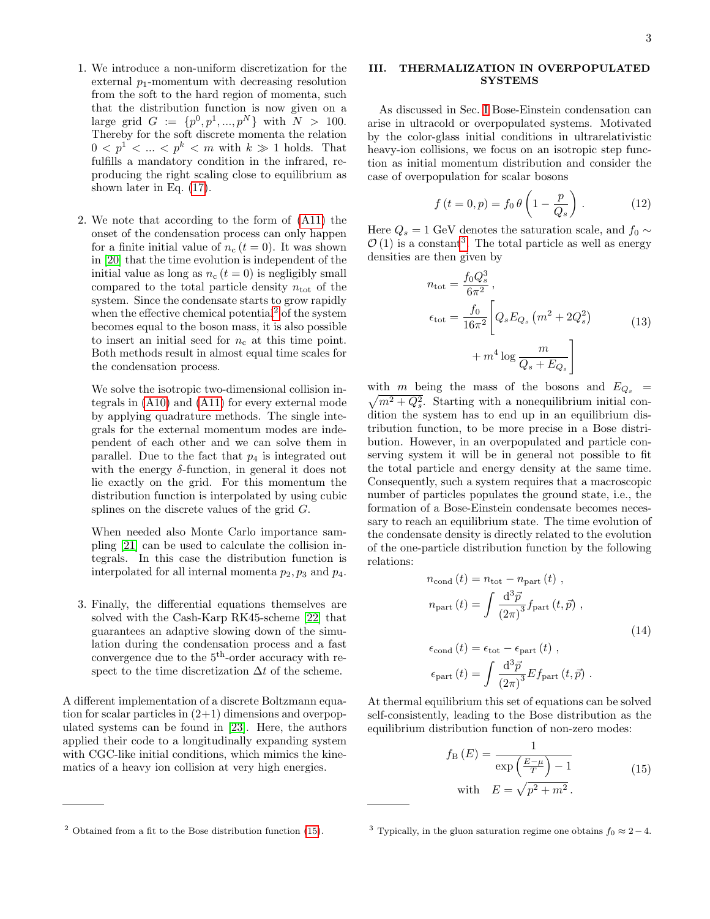- 1. We introduce a non-uniform discretization for the external  $p_1$ -momentum with decreasing resolution from the soft to the hard region of momenta, such that the distribution function is now given on a large grid  $G := \{p^0, p^1, ..., p^N\}$  with  $N > 100$ . Thereby for the soft discrete momenta the relation  $0 \leq p^1 \leq \ldots \leq p^k \leq m$  with  $k \gg 1$  holds. That fulfills a mandatory condition in the infrared, reproducing the right scaling close to equilibrium as shown later in Eq. [\(17\)](#page-3-0).
- 2. We note that according to the form of [\(A11\)](#page-8-1) the onset of the condensation process can only happen for a finite initial value of  $n_c$  ( $t = 0$ ). It was shown in [\[20\]](#page-10-13) that the time evolution is independent of the initial value as long as  $n_c$   $(t = 0)$  is negligibly small compared to the total particle density  $n_{\text{tot}}$  of the system. Since the condensate starts to grow rapidly when the effective chemical potential<sup>[2](#page-2-1)</sup> of the system becomes equal to the boson mass, it is also possible to insert an initial seed for  $n_c$  at this time point. Both methods result in almost equal time scales for the condensation process.

We solve the isotropic two-dimensional collision integrals in [\(A10\)](#page-8-0) and [\(A11\)](#page-8-1) for every external mode by applying quadrature methods. The single integrals for the external momentum modes are independent of each other and we can solve them in parallel. Due to the fact that  $p_4$  is integrated out with the energy  $\delta$ -function, in general it does not lie exactly on the grid. For this momentum the distribution function is interpolated by using cubic splines on the discrete values of the grid G.

When needed also Monte Carlo importance sampling [\[21\]](#page-10-14) can be used to calculate the collision integrals. In this case the distribution function is interpolated for all internal momenta  $p_2, p_3$  and  $p_4$ .

3. Finally, the differential equations themselves are solved with the Cash-Karp RK45-scheme [\[22\]](#page-10-15) that guarantees an adaptive slowing down of the simulation during the condensation process and a fast convergence due to the 5th-order accuracy with respect to the time discretization  $\Delta t$  of the scheme.

A different implementation of a discrete Boltzmann equation for scalar particles in  $(2+1)$  dimensions and overpopulated systems can be found in [\[23\]](#page-10-16). Here, the authors applied their code to a longitudinally expanding system with CGC-like initial conditions, which mimics the kinematics of a heavy ion collision at very high energies.

### <span id="page-2-0"></span>III. THERMALIZATION IN OVERPOPULATED **SYSTEMS**

As discussed in Sec. [I](#page-0-4) Bose-Einstein condensation can arise in ultracold or overpopulated systems. Motivated by the color-glass initial conditions in ultrarelativistic heavy-ion collisions, we focus on an isotropic step function as initial momentum distribution and consider the case of overpopulation for scalar bosons

<span id="page-2-5"></span>
$$
f(t = 0, p) = f_0 \theta \left( 1 - \frac{p}{Q_s} \right). \tag{12}
$$

Here  $Q_s = 1$  GeV denotes the saturation scale, and  $f_0 \sim$  $\mathcal{O}(1)$  is a constant<sup>[3](#page-2-3)</sup>. The total particle as well as energy densities are then given by

$$
n_{\text{tot}} = \frac{f_0 Q_s^3}{6\pi^2},
$$
  
\n
$$
\epsilon_{\text{tot}} = \frac{f_0}{16\pi^2} \left[ Q_s E_{Q_s} \left( m^2 + 2Q_s^2 \right) + m^4 \log \frac{m}{Q_s + E_{Q_s}} \right]
$$
\n(13)

 $\sqrt{m^2 + Q_s^2}$ . Starting with a nonequilibrium initial conwith m being the mass of the bosons and  $E_{Q_s}$  = dition the system has to end up in an equilibrium distribution function, to be more precise in a Bose distribution. However, in an overpopulated and particle conserving system it will be in general not possible to fit the total particle and energy density at the same time. Consequently, such a system requires that a macroscopic number of particles populates the ground state, i.e., the formation of a Bose-Einstein condensate becomes necessary to reach an equilibrium state. The time evolution of the condensate density is directly related to the evolution of the one-particle distribution function by the following relations:

$$
n_{\text{cond}}(t) = n_{\text{tot}} - n_{\text{part}}(t) ,
$$
  
\n
$$
n_{\text{part}}(t) = \int \frac{d^3 \vec{p}}{(2\pi)^3} f_{\text{part}}(t, \vec{p}) ,
$$
  
\n
$$
\epsilon_{\text{cond}}(t) = \epsilon_{\text{tot}} - \epsilon_{\text{part}}(t) ,
$$
  
\n
$$
\epsilon_{\text{part}}(t) = \int \frac{d^3 \vec{p}}{(2\pi)^3} Ef_{\text{part}}(t, \vec{p}) .
$$
 (14)

<span id="page-2-4"></span><span id="page-2-2"></span>At thermal equilibrium this set of equations can be solved self-consistently, leading to the Bose distribution as the equilibrium distribution function of non-zero modes:

$$
f_{\rm B}(E) = \frac{1}{\exp\left(\frac{E-\mu}{T}\right) - 1}
$$
 (15)  
with  $E = \sqrt{p^2 + m^2}$ .

<span id="page-2-1"></span> $2$  Obtained from a fit to the Bose distribution function [\(15\)](#page-2-2).

<span id="page-2-3"></span><sup>&</sup>lt;sup>3</sup> Typically, in the gluon saturation regime one obtains  $f_0 \approx 2-4$ .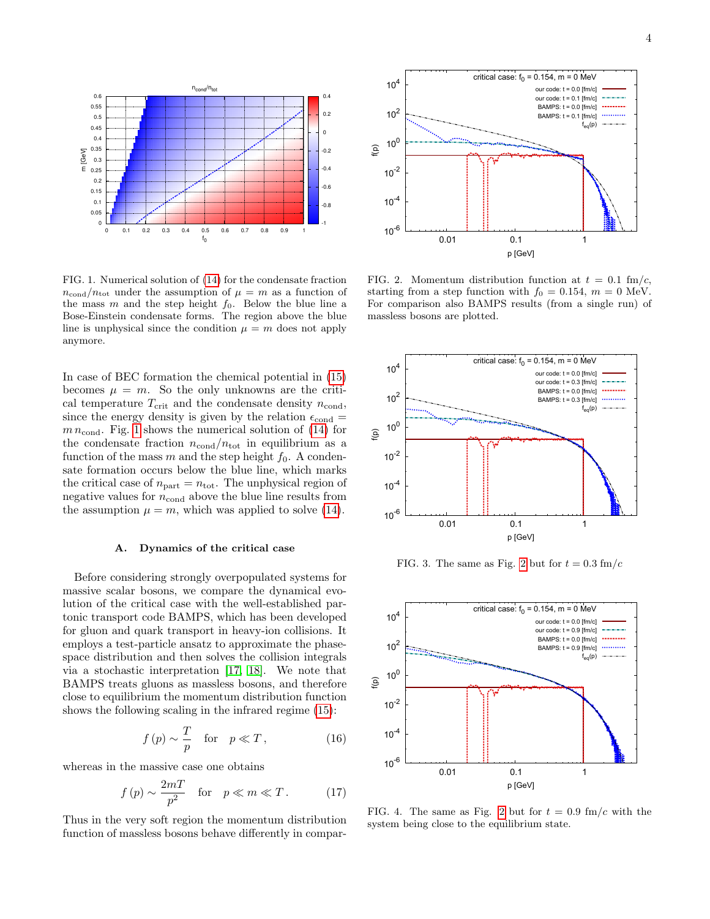

<span id="page-3-1"></span>FIG. 1. Numerical solution of [\(14\)](#page-2-4) for the condensate fraction  $n_{\text{cond}}/n_{\text{tot}}$  under the assumption of  $\mu = m$  as a function of the mass  $m$  and the step height  $f_0$ . Below the blue line a Bose-Einstein condensate forms. The region above the blue line is unphysical since the condition  $\mu = m$  does not apply anymore.

In case of BEC formation the chemical potential in [\(15\)](#page-2-2) becomes  $\mu = m$ . So the only unknowns are the critical temperature  $T_{\text{crit}}$  and the condensate density  $n_{\text{cond}}$ , since the energy density is given by the relation  $\epsilon_{\text{cond}} =$  $m n_{\text{cond}}$ . Fig. [1](#page-3-1) shows the numerical solution of [\(14\)](#page-2-4) for the condensate fraction  $n_{\text{cond}}/n_{\text{tot}}$  in equilibrium as a function of the mass  $m$  and the step height  $f_0$ . A condensate formation occurs below the blue line, which marks the critical case of  $n_{part} = n_{tot}$ . The unphysical region of negative values for  $n_{\text{cond}}$  above the blue line results from the assumption  $\mu = m$ , which was applied to solve [\(14\)](#page-2-4).

## A. Dynamics of the critical case

Before considering strongly overpopulated systems for massive scalar bosons, we compare the dynamical evolution of the critical case with the well-established partonic transport code BAMPS, which has been developed for gluon and quark transport in heavy-ion collisions. It employs a test-particle ansatz to approximate the phasespace distribution and then solves the collision integrals via a stochastic interpretation [\[17,](#page-10-10) [18\]](#page-10-11). We note that BAMPS treats gluons as massless bosons, and therefore close to equilibrium the momentum distribution function shows the following scaling in the infrared regime [\(15\)](#page-2-2):

<span id="page-3-3"></span>
$$
f(p) \sim \frac{T}{p} \quad \text{for} \quad p \ll T \,, \tag{16}
$$

whereas in the massive case one obtains

<span id="page-3-0"></span>
$$
f(p) \sim \frac{2mT}{p^2}
$$
 for  $p \ll m \ll T$ . (17)

Thus in the very soft region the momentum distribution function of massless bosons behave differently in compar-



<span id="page-3-2"></span>FIG. 2. Momentum distribution function at  $t = 0.1$  fm/c, starting from a step function with  $f_0 = 0.154$ ,  $m = 0$  MeV. For comparison also BAMPS results (from a single run) of massless bosons are plotted.



FIG. 3. The same as Fig. [2](#page-3-2) but for  $t = 0.3$  fm/c



<span id="page-3-4"></span>FIG. 4. The same as Fig. [2](#page-3-2) but for  $t = 0.9$  fm/c with the system being close to the equilibrium state.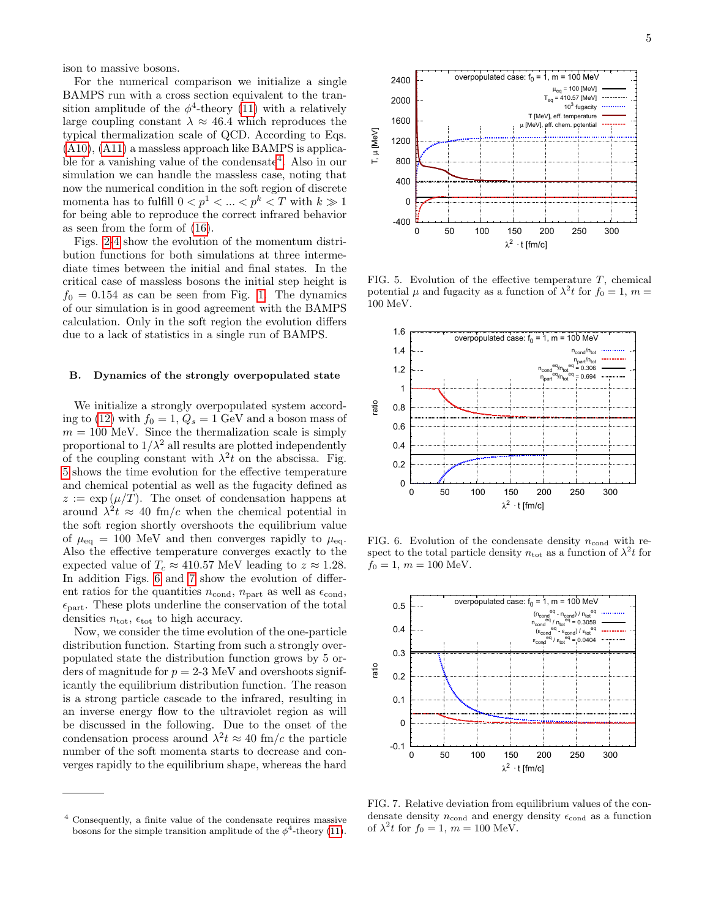ison to massive bosons.

For the numerical comparison we initialize a single BAMPS run with a cross section equivalent to the transition amplitude of the  $\phi^4$ -theory [\(11\)](#page-1-8) with a relatively large coupling constant  $\lambda \approx 46.4$  which reproduces the typical thermalization scale of QCD. According to Eqs. [\(A10\)](#page-8-0), [\(A11\)](#page-8-1) a massless approach like BAMPS is applica-ble for a vanishing value of the condensate<sup>[4](#page-4-0)</sup>. Also in our simulation we can handle the massless case, noting that now the numerical condition in the soft region of discrete momenta has to fulfill  $0 < p^1 < \ldots < p^k < T$  with  $k \gg 1$ for being able to reproduce the correct infrared behavior as seen from the form of [\(16\)](#page-3-3).

Figs. [2-](#page-3-2)[4](#page-3-4) show the evolution of the momentum distribution functions for both simulations at three intermediate times between the initial and final states. In the critical case of massless bosons the initial step height is  $f_0 = 0.154$  as can be seen from Fig. [1.](#page-3-1) The dynamics of our simulation is in good agreement with the BAMPS calculation. Only in the soft region the evolution differs due to a lack of statistics in a single run of BAMPS.

#### B. Dynamics of the strongly overpopulated state

We initialize a strongly overpopulated system accord-ing to [\(12\)](#page-2-5) with  $f_0 = 1, Q_s = 1$  GeV and a boson mass of  $m = 100$  MeV. Since the thermalization scale is simply proportional to  $1/\lambda^2$  all results are plotted independently of the coupling constant with  $\lambda^2 t$  on the abscissa. Fig. [5](#page-4-1) shows the time evolution for the effective temperature and chemical potential as well as the fugacity defined as  $z := \exp(\mu/T)$ . The onset of condensation happens at around  $\lambda^2 t \approx 40$  fm/c when the chemical potential in the soft region shortly overshoots the equilibrium value of  $\mu_{\text{eq}} = 100 \text{ MeV}$  and then converges rapidly to  $\mu_{\text{eq}}$ . Also the effective temperature converges exactly to the expected value of  $T_c \approx 410.57$  MeV leading to  $z \approx 1.28$ . In addition Figs. [6](#page-4-2) and [7](#page-4-3) show the evolution of different ratios for the quantities  $n_{\text{cond}}$ ,  $n_{\text{part}}$  as well as  $\epsilon_{\text{cond}}$ ,  $\epsilon_{\text{part}}$ . These plots underline the conservation of the total densities  $n_{\text{tot}}$ ,  $\epsilon_{\text{tot}}$  to high accuracy.

Now, we consider the time evolution of the one-particle distribution function. Starting from such a strongly overpopulated state the distribution function grows by 5 orders of magnitude for  $p = 2-3$  MeV and overshoots significantly the equilibrium distribution function. The reason is a strong particle cascade to the infrared, resulting in an inverse energy flow to the ultraviolet region as will be discussed in the following. Due to the onset of the condensation process around  $\lambda^2 t \approx 40$  fm/c the particle number of the soft momenta starts to decrease and converges rapidly to the equilibrium shape, whereas the hard



<span id="page-4-1"></span>FIG. 5. Evolution of the effective temperature  $T$ , chemical potential  $\mu$  and fugacity as a function of  $\lambda^2 t$  for  $f_0 = 1$ ,  $m =$ 100 MeV.



<span id="page-4-2"></span>FIG. 6. Evolution of the condensate density  $n_{\text{cond}}$  with respect to the total particle density  $n_{\text{tot}}$  as a function of  $\lambda^2 t$  for  $f_0 = 1, m = 100$  MeV.



<span id="page-4-3"></span>FIG. 7. Relative deviation from equilibrium values of the condensate density  $n_{\text{cond}}$  and energy density  $\epsilon_{\text{cond}}$  as a function of  $\lambda^2 t$  for  $f_0 = 1$ ,  $m = 100$  MeV.

<span id="page-4-0"></span><sup>4</sup> Consequently, a finite value of the condensate requires massive bosons for the simple transition amplitude of the  $\phi^4$ -theory [\(11\)](#page-1-8).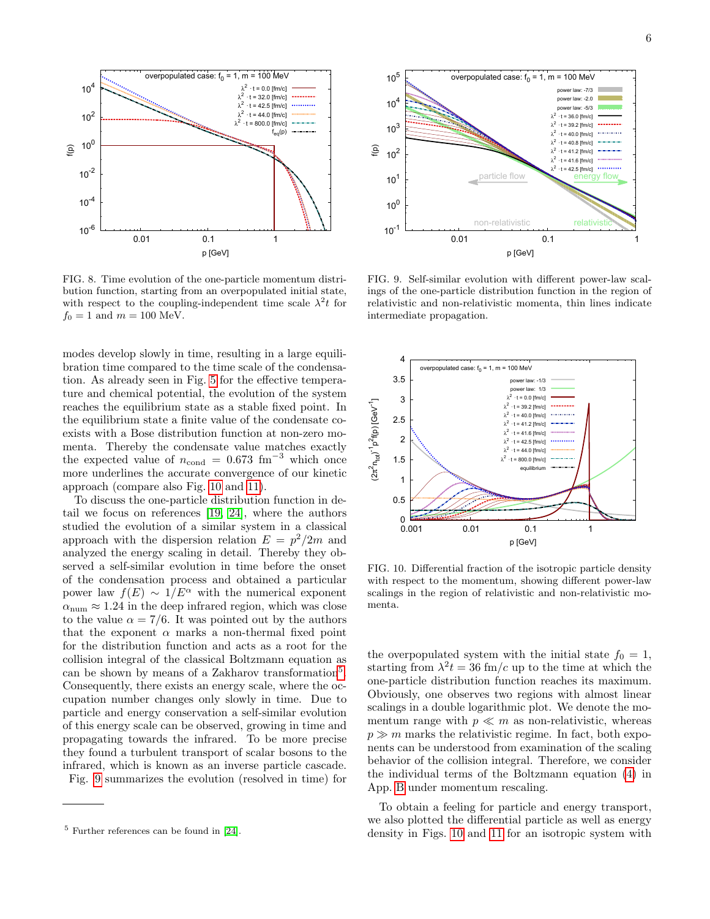

FIG. 8. Time evolution of the one-particle momentum distribution function, starting from an overpopulated initial state, with respect to the coupling-independent time scale  $\lambda^2 t$  for  $f_0 = 1$  and  $m = 100$  MeV.

modes develop slowly in time, resulting in a large equilibration time compared to the time scale of the condensation. As already seen in Fig. [5](#page-4-1) for the effective temperature and chemical potential, the evolution of the system reaches the equilibrium state as a stable fixed point. In the equilibrium state a finite value of the condensate coexists with a Bose distribution function at non-zero momenta. Thereby the condensate value matches exactly the expected value of  $n_{\text{cond}} = 0.673 \text{ fm}^{-3}$  which once more underlines the accurate convergence of our kinetic approach (compare also Fig. [10](#page-5-0) and [11\)](#page-6-0).

To discuss the one-particle distribution function in detail we focus on references [\[19,](#page-10-12) [24\]](#page-10-17), where the authors studied the evolution of a similar system in a classical approach with the dispersion relation  $E = p^2/2m$  and analyzed the energy scaling in detail. Thereby they observed a self-similar evolution in time before the onset of the condensation process and obtained a particular power law  $f(E) \sim 1/E^{\alpha}$  with the numerical exponent  $\alpha_{\text{num}} \approx 1.24$  in the deep infrared region, which was close to the value  $\alpha = \frac{7}{6}$ . It was pointed out by the authors that the exponent  $\alpha$  marks a non-thermal fixed point for the distribution function and acts as a root for the collision integral of the classical Boltzmann equation as can be shown by means of a Zakharov transformation<sup>[5](#page-5-1)</sup>. Consequently, there exists an energy scale, where the occupation number changes only slowly in time. Due to particle and energy conservation a self-similar evolution of this energy scale can be observed, growing in time and propagating towards the infrared. To be more precise they found a turbulent transport of scalar bosons to the infrared, which is known as an inverse particle cascade. Fig. [9](#page-5-2) summarizes the evolution (resolved in time) for



<span id="page-5-2"></span>FIG. 9. Self-similar evolution with different power-law scalings of the one-particle distribution function in the region of relativistic and non-relativistic momenta, thin lines indicate intermediate propagation.



<span id="page-5-0"></span>FIG. 10. Differential fraction of the isotropic particle density with respect to the momentum, showing different power-law scalings in the region of relativistic and non-relativistic momenta.

the overpopulated system with the initial state  $f_0 = 1$ , starting from  $\lambda^2 t = 36$  fm/c up to the time at which the one-particle distribution function reaches its maximum. Obviously, one observes two regions with almost linear scalings in a double logarithmic plot. We denote the momentum range with  $p \ll m$  as non-relativistic, whereas  $p \gg m$  marks the relativistic regime. In fact, both exponents can be understood from examination of the scaling behavior of the collision integral. Therefore, we consider the individual terms of the Boltzmann equation [\(4\)](#page-1-2) in App. [B](#page-8-2) under momentum rescaling.

To obtain a feeling for particle and energy transport, we also plotted the differential particle as well as energy density in Figs. [10](#page-5-0) and [11](#page-6-0) for an isotropic system with

<span id="page-5-1"></span><sup>5</sup> Further references can be found in [\[24\]](#page-10-17).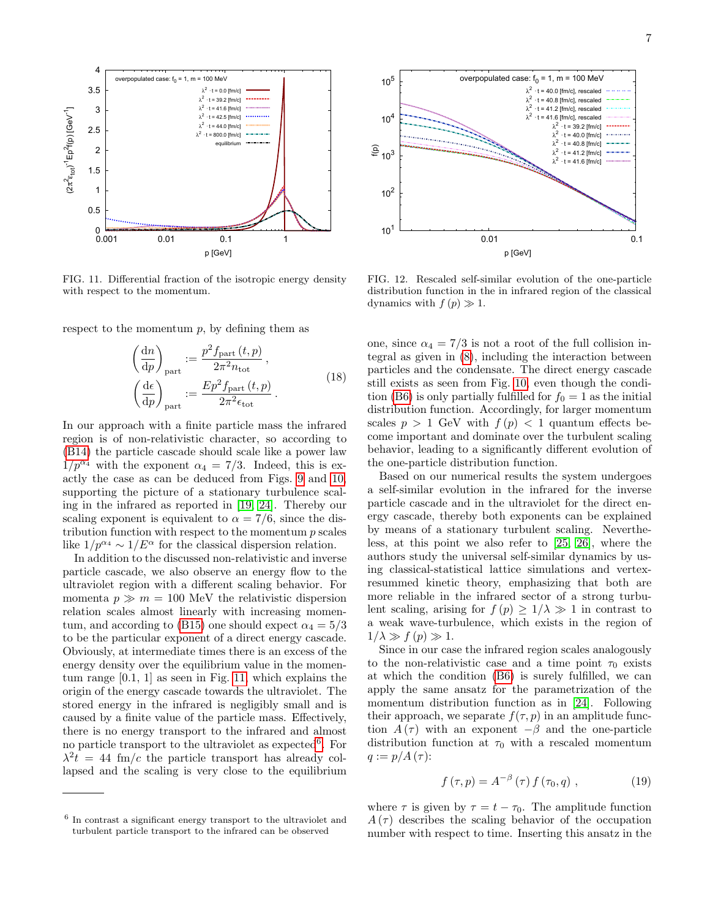

<span id="page-6-0"></span>FIG. 11. Differential fraction of the isotropic energy density with respect to the momentum.

respect to the momentum  $p$ , by defining them as

$$
\left(\frac{dn}{dp}\right)_{\text{part}} := \frac{p^2 f_{\text{part}}(t, p)}{2\pi^2 n_{\text{tot}}},
$$
\n
$$
\left(\frac{d\epsilon}{dp}\right)_{\text{part}} := \frac{Ep^2 f_{\text{part}}(t, p)}{2\pi^2 \epsilon_{\text{tot}}}.
$$
\n(18)

In our approach with a finite particle mass the infrared region is of non-relativistic character, so according to [\(B14\)](#page-9-0) the particle cascade should scale like a power law  $1/p^{\alpha_4}$  with the exponent  $\alpha_4 = 7/3$ . Indeed, this is exactly the case as can be deduced from Figs. [9](#page-5-2) and [10,](#page-5-0) supporting the picture of a stationary turbulence scaling in the infrared as reported in [\[19,](#page-10-12) [24\]](#page-10-17). Thereby our scaling exponent is equivalent to  $\alpha = \frac{7}{6}$ , since the distribution function with respect to the momentum  $p$  scales like  $1/p^{\alpha_4} \sim 1/E^{\alpha}$  for the classical dispersion relation.

In addition to the discussed non-relativistic and inverse particle cascade, we also observe an energy flow to the ultraviolet region with a different scaling behavior. For momenta  $p \gg m = 100$  MeV the relativistic dispersion relation scales almost linearly with increasing momen-tum, and according to [\(B15\)](#page-9-1) one should expect  $\alpha_4 = 5/3$ to be the particular exponent of a direct energy cascade. Obviously, at intermediate times there is an excess of the energy density over the equilibrium value in the momentum range [0.1, 1] as seen in Fig. [11,](#page-6-0) which explains the origin of the energy cascade towards the ultraviolet. The stored energy in the infrared is negligibly small and is caused by a finite value of the particle mass. Effectively, there is no energy transport to the infrared and almost no particle transport to the ultraviolet as expected<sup>[6](#page-6-1)</sup>. For  $\lambda^2 t = 44$  fm/c the particle transport has already collapsed and the scaling is very close to the equilibrium



<span id="page-6-2"></span>FIG. 12. Rescaled self-similar evolution of the one-particle distribution function in the in infrared region of the classical dynamics with  $f(p) \gg 1$ .

one, since  $\alpha_4 = 7/3$  is not a root of the full collision integral as given in [\(8\)](#page-1-7), including the interaction between particles and the condensate. The direct energy cascade still exists as seen from Fig. [10,](#page-5-0) even though the condi-tion [\(B6\)](#page-9-2) is only partially fulfilled for  $f_0 = 1$  as the initial distribution function. Accordingly, for larger momentum scales  $p > 1$  GeV with  $f(p) < 1$  quantum effects become important and dominate over the turbulent scaling behavior, leading to a significantly different evolution of the one-particle distribution function.

Based on our numerical results the system undergoes a self-similar evolution in the infrared for the inverse particle cascade and in the ultraviolet for the direct energy cascade, thereby both exponents can be explained by means of a stationary turbulent scaling. Nevertheless, at this point we also refer to [\[25,](#page-10-18) [26\]](#page-10-19), where the authors study the universal self-similar dynamics by using classical-statistical lattice simulations and vertexresummed kinetic theory, emphasizing that both are more reliable in the infrared sector of a strong turbulent scaling, arising for  $f(p) \geq 1/\lambda \gg 1$  in contrast to a weak wave-turbulence, which exists in the region of  $1/\lambda \gg f(p) \gg 1.$ 

Since in our case the infrared region scales analogously to the non-relativistic case and a time point  $\tau_0$  exists at which the condition [\(B6\)](#page-9-2) is surely fulfilled, we can apply the same ansatz for the parametrization of the momentum distribution function as in [\[24\]](#page-10-17). Following their approach, we separate  $f(\tau, p)$  in an amplitude function  $A(\tau)$  with an exponent  $-\beta$  and the one-particle distribution function at  $\tau_0$  with a rescaled momentum  $q := p/A(\tau)$ :

$$
f(\tau, p) = A^{-\beta}(\tau) f(\tau_0, q) , \qquad (19)
$$

where  $\tau$  is given by  $\tau = t - \tau_0$ . The amplitude function  $A(\tau)$  describes the scaling behavior of the occupation number with respect to time. Inserting this ansatz in the

<span id="page-6-1"></span><sup>6</sup> In contrast a significant energy transport to the ultraviolet and turbulent particle transport to the infrared can be observed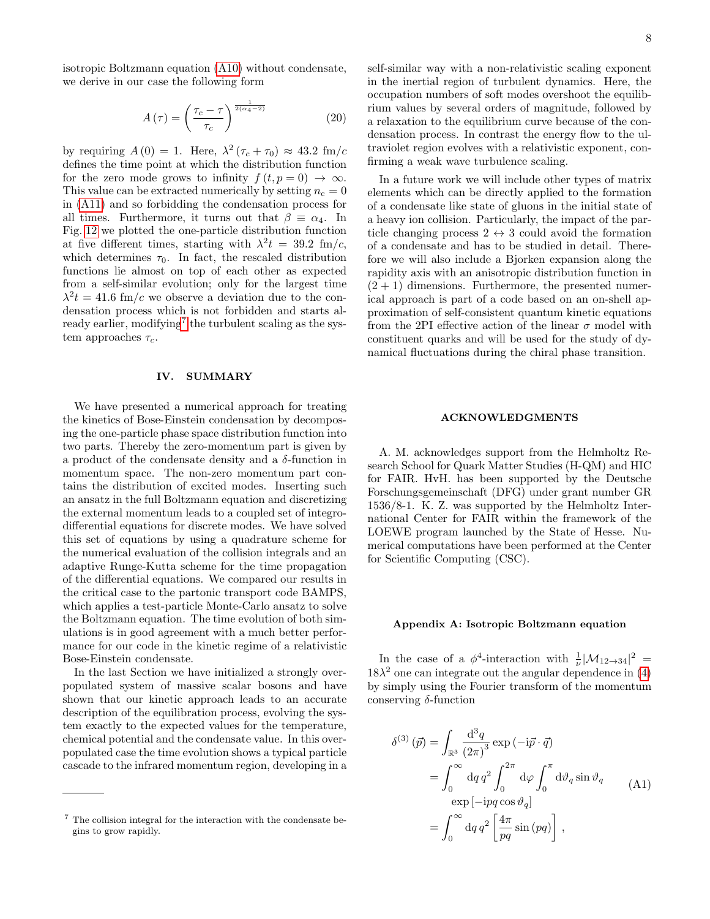isotropic Boltzmann equation [\(A10\)](#page-8-0) without condensate, we derive in our case the following form

$$
A\left(\tau\right) = \left(\frac{\tau_c - \tau}{\tau_c}\right)^{\frac{1}{2(\alpha_4 - 2)}}\tag{20}
$$

by requiring  $A(0) = 1$ . Here,  $\lambda^2 (\tau_c + \tau_0) \approx 43.2 \text{ fm}/c$ defines the time point at which the distribution function for the zero mode grows to infinity  $f(t, p = 0) \rightarrow \infty$ . This value can be extracted numerically by setting  $n_c = 0$ in [\(A11\)](#page-8-1) and so forbidding the condensation process for all times. Furthermore, it turns out that  $\beta \equiv \alpha_4$ . In Fig. [12](#page-6-2) we plotted the one-particle distribution function at five different times, starting with  $\lambda^2 t = 39.2 \text{ fm/c}$ , which determines  $\tau_0$ . In fact, the rescaled distribution functions lie almost on top of each other as expected from a self-similar evolution; only for the largest time  $\lambda^2 t = 41.6$  fm/c we observe a deviation due to the condensation process which is not forbidden and starts al-ready earlier, modifying<sup>[7](#page-7-0)</sup> the turbulent scaling as the system approaches  $\tau_c$ .

### IV. SUMMARY

We have presented a numerical approach for treating the kinetics of Bose-Einstein condensation by decomposing the one-particle phase space distribution function into two parts. Thereby the zero-momentum part is given by a product of the condensate density and a  $\delta$ -function in momentum space. The non-zero momentum part contains the distribution of excited modes. Inserting such an ansatz in the full Boltzmann equation and discretizing the external momentum leads to a coupled set of integrodifferential equations for discrete modes. We have solved this set of equations by using a quadrature scheme for the numerical evaluation of the collision integrals and an adaptive Runge-Kutta scheme for the time propagation of the differential equations. We compared our results in the critical case to the partonic transport code BAMPS, which applies a test-particle Monte-Carlo ansatz to solve the Boltzmann equation. The time evolution of both simulations is in good agreement with a much better performance for our code in the kinetic regime of a relativistic Bose-Einstein condensate.

In the last Section we have initialized a strongly overpopulated system of massive scalar bosons and have shown that our kinetic approach leads to an accurate description of the equilibration process, evolving the system exactly to the expected values for the temperature, chemical potential and the condensate value. In this overpopulated case the time evolution shows a typical particle cascade to the infrared momentum region, developing in a

self-similar way with a non-relativistic scaling exponent in the inertial region of turbulent dynamics. Here, the occupation numbers of soft modes overshoot the equilibrium values by several orders of magnitude, followed by a relaxation to the equilibrium curve because of the condensation process. In contrast the energy flow to the ultraviolet region evolves with a relativistic exponent, confirming a weak wave turbulence scaling.

In a future work we will include other types of matrix elements which can be directly applied to the formation of a condensate like state of gluons in the initial state of a heavy ion collision. Particularly, the impact of the particle changing process  $2 \leftrightarrow 3$  could avoid the formation of a condensate and has to be studied in detail. Therefore we will also include a Bjorken expansion along the rapidity axis with an anisotropic distribution function in  $(2 + 1)$  dimensions. Furthermore, the presented numerical approach is part of a code based on an on-shell approximation of self-consistent quantum kinetic equations from the 2PI effective action of the linear  $\sigma$  model with constituent quarks and will be used for the study of dynamical fluctuations during the chiral phase transition.

### ACKNOWLEDGMENTS

A. M. acknowledges support from the Helmholtz Research School for Quark Matter Studies (H-QM) and HIC for FAIR. HvH. has been supported by the Deutsche Forschungsgemeinschaft (DFG) under grant number GR 1536/8-1. K. Z. was supported by the Helmholtz International Center for FAIR within the framework of the LOEWE program launched by the State of Hesse. Numerical computations have been performed at the Center for Scientific Computing (CSC).

#### Appendix A: Isotropic Boltzmann equation

In the case of a  $\phi^4$ -interaction with  $\frac{1}{\nu}|\mathcal{M}_{12\rightarrow34}|^2$  =  $18\lambda^2$  one can integrate out the angular dependence in [\(4\)](#page-1-2) by simply using the Fourier transform of the momentum conserving  $\delta$ -function

$$
\delta^{(3)}(\vec{p}) = \int_{\mathbb{R}^3} \frac{d^3 q}{(2\pi)^3} \exp(-i\vec{p} \cdot \vec{q})
$$
  
= 
$$
\int_0^\infty dq q^2 \int_0^{2\pi} d\varphi \int_0^{\pi} d\vartheta_q \sin \vartheta_q
$$
  
exp [-ipq cos  $\vartheta_q]$   
= 
$$
\int_0^\infty dq q^2 \left[ \frac{4\pi}{pq} \sin(pq) \right],
$$
 (A1)

<span id="page-7-0"></span><sup>7</sup> The collision integral for the interaction with the condensate begins to grow rapidly.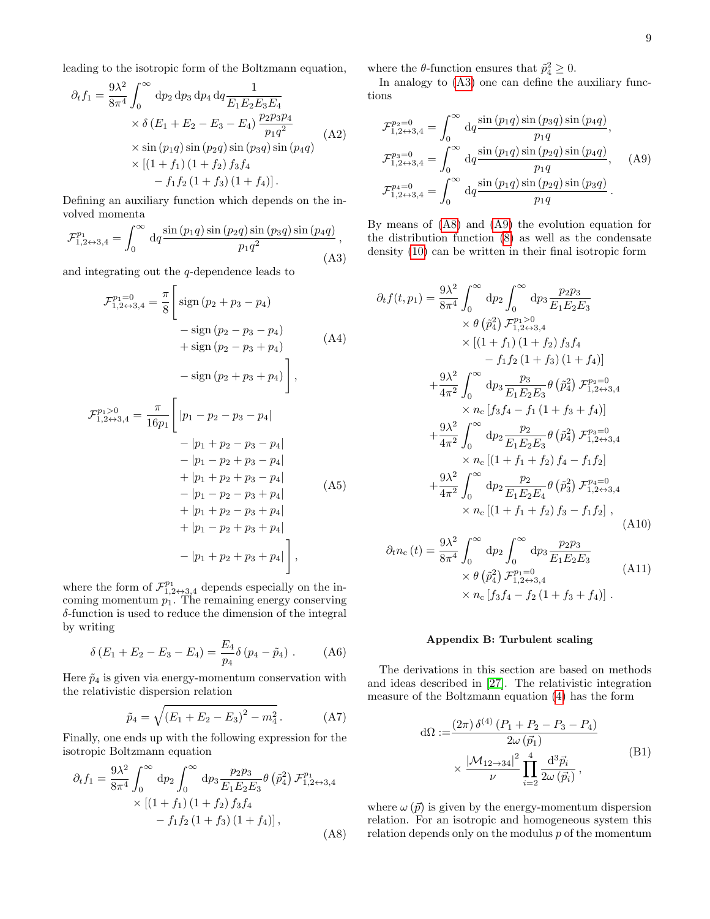leading to the isotropic form of the Boltzmann equation,

$$
\partial_t f_1 = \frac{9\lambda^2}{8\pi^4} \int_0^\infty dp_2 dp_3 dp_4 dq \frac{1}{E_1 E_2 E_3 E_4}
$$
  
\n
$$
\times \delta (E_1 + E_2 - E_3 - E_4) \frac{p_2 p_3 p_4}{p_1 q^2}
$$
  
\n
$$
\times \sin (p_1 q) \sin (p_2 q) \sin (p_3 q) \sin (p_4 q)
$$
  
\n
$$
\times [(1 + f_1) (1 + f_2) f_3 f_4
$$
  
\n
$$
- f_1 f_2 (1 + f_3) (1 + f_4)].
$$
\n(A2)

Defining an auxiliary function which depends on the involved momenta

<span id="page-8-3"></span>
$$
\mathcal{F}_{1,2\leftrightarrow 3,4}^{p_1} = \int_0^\infty \, \mathrm{d}q \frac{\sin{(p_1q)} \sin{(p_2q)} \sin{(p_3q)} \sin{(p_4q)}}{p_1q^2},\tag{A3}
$$

and integrating out the q-dependence leads to

$$
\mathcal{F}_{1,2\leftrightarrow 3,4}^{p_1=0} = \frac{\pi}{8} \left[ \text{sign} (p_2 + p_3 - p_4) - \text{sign} (p_2 - p_3 - p_4) + \text{sign} (p_2 - p_3 + p_4) - \text{sign} (p_2 + p_3 + p_4) \right],
$$
\n(A4)  
\n
$$
\mathcal{F}_{1,2\leftrightarrow 3,4}^{p_1>0} = \frac{\pi}{16n} \left[ |p_1 - p_2 - p_3 - p_4| \right]
$$

$$
P_{1,2 \leftrightarrow 3,4} = 16p_1 \begin{bmatrix} p_1 & p_2 & p_3 & p_4 \end{bmatrix}
$$
  
\n
$$
= |p_1 + p_2 - p_3 - p_4|
$$
  
\n
$$
= |p_1 - p_2 + p_3 - p_4|
$$
  
\n
$$
+ |p_1 + p_2 + p_3 - p_4|
$$
  
\n
$$
= |p_1 - p_2 - p_3 + p_4|
$$
  
\n
$$
+ |p_1 + p_2 - p_3 + p_4|
$$
  
\n
$$
+ |p_1 - p_2 + p_3 + p_4|
$$
  
\n
$$
- |p_1 + p_2 + p_3 + p_4|
$$

where the form of  $\mathcal{F}_{1,2\leftrightarrow 3,4}^{p_1}$  depends especially on the incoming momentum  $p_1$ . The remaining energy conserving δ-function is used to reduce the dimension of the integral by writing

$$
\delta (E_1 + E_2 - E_3 - E_4) = \frac{E_4}{p_4} \delta (p_4 - \tilde{p}_4) . \tag{A6}
$$

Here  $\tilde{p}_4$  is given via energy-momentum conservation with the relativistic dispersion relation

$$
\tilde{p}_4 = \sqrt{\left(E_1 + E_2 - E_3\right)^2 - m_4^2} \,. \tag{A7}
$$

Finally, one ends up with the following expression for the isotropic Boltzmann equation

<span id="page-8-4"></span>
$$
\partial_{t} f_{1} = \frac{9\lambda^{2}}{8\pi^{4}} \int_{0}^{\infty} dp_{2} \int_{0}^{\infty} dp_{3} \frac{p_{2}p_{3}}{E_{1}E_{2}E_{3}} \theta \left(\tilde{p}_{4}^{2}\right) \mathcal{F}_{1,2\leftrightarrow3,4}^{p_{1}} \times \left[ (1+f_{1}) \left(1+f_{2}\right) f_{3} f_{4} - f_{1} f_{2} \left(1+f_{3}\right) \left(1+f_{4}\right) \right],
$$
\n(A8)

where the  $\theta$ -function ensures that  $\tilde{p}_4^2 \geq 0$ .

In analogy to [\(A3\)](#page-8-3) one can define the auxiliary functions

<span id="page-8-5"></span>
$$
\mathcal{F}_{1,2\leftrightarrow 3,4}^{p_2=0} = \int_0^\infty dq \frac{\sin (p_1 q) \sin (p_3 q) \sin (p_4 q)}{p_1 q},
$$
  
\n
$$
\mathcal{F}_{1,2\leftrightarrow 3,4}^{p_3=0} = \int_0^\infty dq \frac{\sin (p_1 q) \sin (p_2 q) \sin (p_4 q)}{p_1 q}, \quad (A9)
$$
  
\n
$$
\mathcal{F}_{1,2\leftrightarrow 3,4}^{p_4=0} = \int_0^\infty dq \frac{\sin (p_1 q) \sin (p_2 q) \sin (p_3 q)}{p_1 q}.
$$

By means of [\(A8\)](#page-8-4) and [\(A9\)](#page-8-5) the evolution equation for the distribution function [\(8\)](#page-1-7) as well as the condensate density [\(10\)](#page-1-9) can be written in their final isotropic form

$$
\partial_{t}f(t,p_{1}) = \frac{9\lambda^{2}}{8\pi^{4}} \int_{0}^{\infty} dp_{2} \int_{0}^{\infty} dp_{3} \frac{p_{2}p_{3}}{E_{1}E_{2}E_{3}}
$$
  
\n
$$
\times \theta (\tilde{p}_{4}^{2}) \mathcal{F}_{1,2\leftrightarrow3,4}^{p_{1}>0}
$$
  
\n
$$
\times [(1 + f_{1}) (1 + f_{2}) f_{3}f_{4}
$$
  
\n
$$
- f_{1}f_{2} (1 + f_{3}) (1 + f_{4})]
$$
  
\n
$$
+ \frac{9\lambda^{2}}{4\pi^{2}} \int_{0}^{\infty} dp_{3} \frac{p_{3}}{E_{1}E_{2}E_{3}} \theta (\tilde{p}_{4}^{2}) \mathcal{F}_{1,2\leftrightarrow3,4}^{p_{2}=0}
$$
  
\n
$$
\times n_{c} [f_{3}f_{4} - f_{1} (1 + f_{3} + f_{4})]
$$
  
\n
$$
+ \frac{9\lambda^{2}}{4\pi^{2}} \int_{0}^{\infty} dp_{2} \frac{p_{2}}{E_{1}E_{2}E_{3}} \theta (\tilde{p}_{4}^{2}) \mathcal{F}_{1,2\leftrightarrow3,4}^{p_{3}=0}
$$
  
\n
$$
\times n_{c} [(1 + f_{1} + f_{2}) f_{4} - f_{1}f_{2}]
$$
  
\n
$$
+ \frac{9\lambda^{2}}{4\pi^{2}} \int_{0}^{\infty} dp_{2} \frac{p_{2}}{E_{1}E_{2}E_{4}} \theta (\tilde{p}_{3}^{2}) \mathcal{F}_{1,2\leftrightarrow3,4}^{p_{4}=0}
$$
  
\n
$$
\times n_{c} [(1 + f_{1} + f_{2}) f_{3} - f_{1}f_{2}],
$$
  
\n(A10)

$$
\partial_t n_c(t) = \frac{9\lambda^2}{8\pi^4} \int_0^\infty dp_2 \int_0^\infty dp_3 \frac{p_2 p_3}{E_1 E_2 E_3} \times \theta \left(\tilde{p}_4^2\right) \mathcal{F}_{1,2\leftrightarrow 3,4}^{p_1=0} \tag{A11}
$$
\n
$$
\times n_c \left[ f_3 f_4 - f_2 \left(1 + f_3 + f_4 \right) \right].
$$

#### <span id="page-8-2"></span><span id="page-8-1"></span><span id="page-8-0"></span>Appendix B: Turbulent scaling

The derivations in this section are based on methods and ideas described in [\[27\]](#page-10-20). The relativistic integration measure of the Boltzmann equation [\(4\)](#page-1-2) has the form

<span id="page-8-6"></span>
$$
d\Omega := \frac{(2\pi) \,\delta^{(4)} (P_1 + P_2 - P_3 - P_4)}{2\omega (\vec{p}_1)}
$$
  
 
$$
\times \frac{|\mathcal{M}_{12 \to 34}|^2}{\nu} \prod_{i=2}^4 \frac{d^3 \vec{p}_i}{2\omega (\vec{p}_i)},
$$
 (B1)

where  $\omega(\vec{p})$  is given by the energy-momentum dispersion relation. For an isotropic and homogeneous system this relation depends only on the modulus  $p$  of the momentum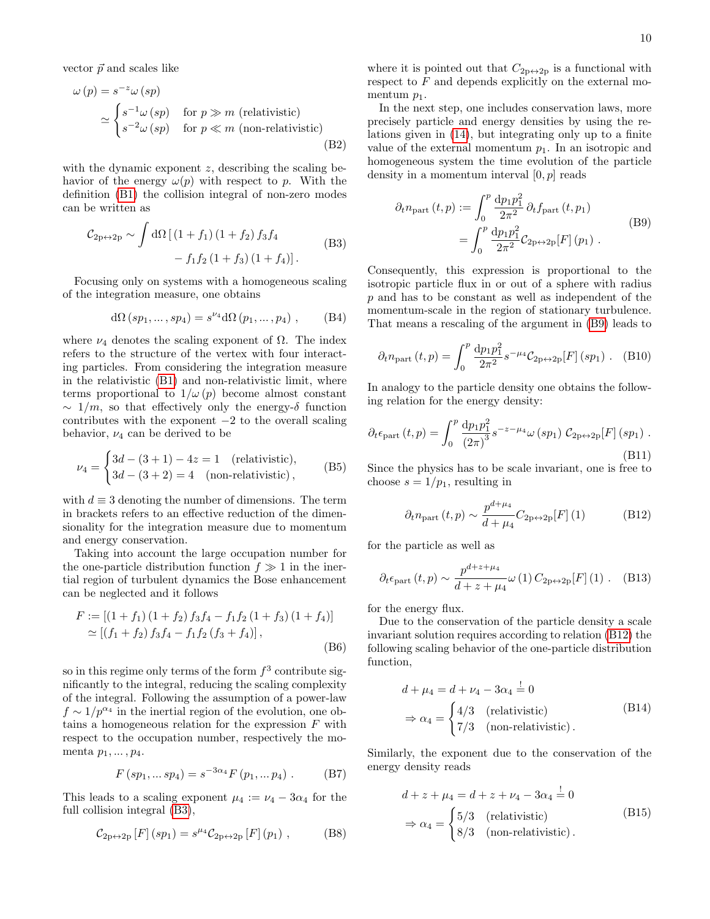vector  $\vec{p}$  and scales like

 $\lambda$ 

$$
\omega(p) = s^{-z}\omega(sp)
$$
  
\n
$$
\simeq \begin{cases} s^{-1}\omega(sp) & \text{for } p \gg m \text{ (relativistic)}\\ s^{-2}\omega(sp) & \text{for } p \ll m \text{ (non-relativistic)} \end{cases}
$$
\n(B2)

with the dynamic exponent  $z$ , describing the scaling behavior of the energy  $\omega(p)$  with respect to p. With the definition [\(B1\)](#page-8-6) the collision integral of non-zero modes can be written as

<span id="page-9-3"></span>
$$
\mathcal{C}_{2p \leftrightarrow 2p} \sim \int d\Omega \left[ (1 + f_1) (1 + f_2) f_3 f_4 - f_1 f_2 (1 + f_3) (1 + f_4) \right].
$$
 (B3)

Focusing only on systems with a homogeneous scaling of the integration measure, one obtains

$$
d\Omega (sp_1, \dots, sp_4) = s^{\nu_4} d\Omega (p_1, \dots, p_4) , \qquad (B4)
$$

where  $\nu_4$  denotes the scaling exponent of  $\Omega$ . The index refers to the structure of the vertex with four interacting particles. From considering the integration measure in the relativistic [\(B1\)](#page-8-6) and non-relativistic limit, where terms proportional to  $1/\omega(p)$  become almost constant  $\sim 1/m$ , so that effectively only the energy- $\delta$  function contributes with the exponent  $-2$  to the overall scaling behavior,  $\nu_4$  can be derived to be

$$
\nu_4 = \begin{cases} 3d - (3+1) - 4z = 1 & \text{(relativistic)}, \\ 3d - (3+2) = 4 & \text{(non-relativistic)}, \end{cases}
$$
 (B5)

with  $d \equiv 3$  denoting the number of dimensions. The term in brackets refers to an effective reduction of the dimensionality for the integration measure due to momentum and energy conservation.

Taking into account the large occupation number for the one-particle distribution function  $f \gg 1$  in the inertial region of turbulent dynamics the Bose enhancement can be neglected and it follows

<span id="page-9-2"></span>
$$
F := [(1 + f_1) (1 + f_2) f_3 f_4 - f_1 f_2 (1 + f_3) (1 + f_4)]
$$
  
\n
$$
\simeq [(f_1 + f_2) f_3 f_4 - f_1 f_2 (f_3 + f_4)],
$$
  
\n(B6)

so in this regime only terms of the form  $f^3$  contribute significantly to the integral, reducing the scaling complexity of the integral. Following the assumption of a power-law  $f \sim 1/p^{\alpha_4}$  in the inertial region of the evolution, one obtains a homogeneous relation for the expression  $F$  with respect to the occupation number, respectively the momenta  $p_1, \ldots, p_4$ .

$$
F (sp_1, ... sp_4) = s^{-3\alpha_4} F (p_1, ... p_4) .
$$
 (B7)

This leads to a scaling exponent  $\mu_4 := \nu_4 - 3\alpha_4$  for the full collision integral [\(B3\)](#page-9-3),

$$
\mathcal{C}_{2p \leftrightarrow 2p} [F] (sp_1) = s^{\mu_4} \mathcal{C}_{2p \leftrightarrow 2p} [F] (p_1) , \qquad (B8)
$$

where it is pointed out that  $C_{2p\leftrightarrow 2p}$  is a functional with respect to  $F$  and depends explicitly on the external momentum  $p_1$ .

In the next step, one includes conservation laws, more precisely particle and energy densities by using the relations given in [\(14\)](#page-2-4), but integrating only up to a finite value of the external momentum  $p_1$ . In an isotropic and homogeneous system the time evolution of the particle density in a momentum interval  $[0, p]$  reads

<span id="page-9-4"></span>
$$
\partial_t n_{\text{part}}(t, p) := \int_0^p \frac{dp_1 p_1^2}{2\pi^2} \partial_t f_{\text{part}}(t, p_1)
$$
  
= 
$$
\int_0^p \frac{dp_1 p_1^2}{2\pi^2} C_{2p \leftrightarrow 2p}[F](p_1)
$$
 (B9)

Consequently, this expression is proportional to the isotropic particle flux in or out of a sphere with radius p and has to be constant as well as independent of the momentum-scale in the region of stationary turbulence. That means a rescaling of the argument in [\(B9\)](#page-9-4) leads to

$$
\partial_t n_{\text{part}}(t, p) = \int_0^p \frac{\mathrm{d}p_1 p_1^2}{2\pi^2} s^{-\mu_4} C_{2p \leftrightarrow 2p}[F](sp_1) \ . \tag{B10}
$$

In analogy to the particle density one obtains the following relation for the energy density:

$$
\partial_t \epsilon_{\text{part}}(t, p) = \int_0^p \frac{dp_1 p_1^2}{(2\pi)^3} s^{-z - \mu_4} \omega (sp_1) C_{2p \leftrightarrow 2p}[F] (sp_1) .
$$
\n(B11)

Since the physics has to be scale invariant, one is free to choose  $s = 1/p_1$ , resulting in

<span id="page-9-5"></span>
$$
\partial_t n_{\text{part}}(t, p) \sim \frac{p^{d + \mu_4}}{d + \mu_4} C_{2p \leftrightarrow 2p}[F](1) \tag{B12}
$$

for the particle as well as

<span id="page-9-6"></span>
$$
\partial_t \epsilon_{\text{part}}(t, p) \sim \frac{p^{d+z+\mu_4}}{d+z+\mu_4} \omega(1) C_{2p \leftrightarrow 2p}[F](1) . \quad (B13)
$$

for the energy flux.

Due to the conservation of the particle density a scale invariant solution requires according to relation [\(B12\)](#page-9-5) the following scaling behavior of the one-particle distribution function,

<span id="page-9-0"></span>
$$
d + \mu_4 = d + \nu_4 - 3\alpha_4 \stackrel{!}{=} 0
$$
  
\n
$$
\Rightarrow \alpha_4 = \begin{cases} 4/3 & \text{(relativistic)}\\ 7/3 & \text{(non-relativistic)} \end{cases} . \tag{B14}
$$

Similarly, the exponent due to the conservation of the energy density reads

<span id="page-9-1"></span>
$$
d + z + \mu_4 = d + z + \nu_4 - 3\alpha_4 \stackrel{!}{=} 0
$$
  
\n
$$
\Rightarrow \alpha_4 = \begin{cases} 5/3 & \text{(relativistic)} \\ 8/3 & \text{(non-relativistic)} \end{cases} (B15)
$$